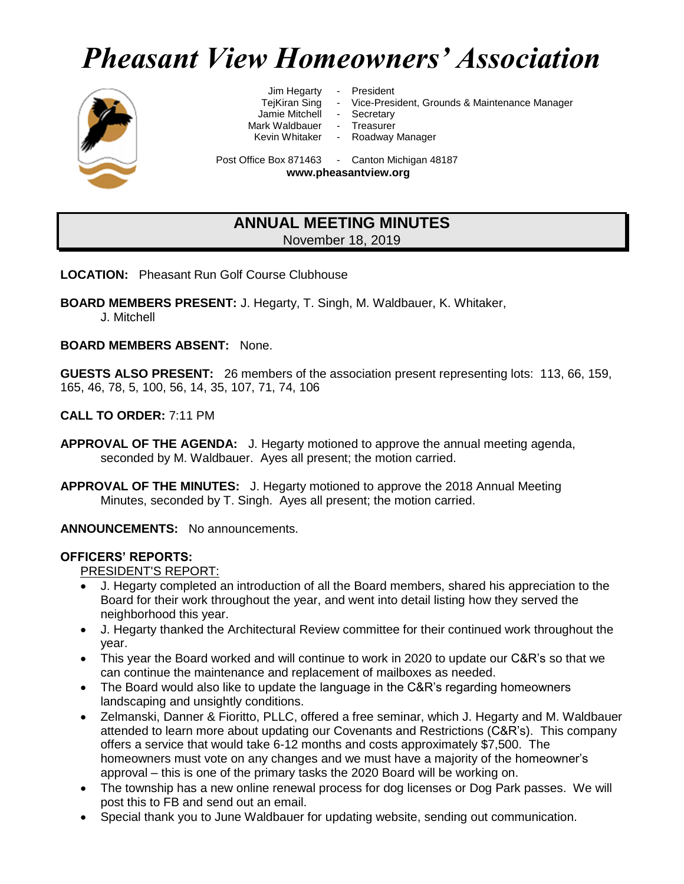# *Pheasant View Homeowners' Association*



Jim Hegarty - President

TejKiran Sing - Vice-President, Grounds & Maintenance Manager

- Jamie Mitchell Secretary
	-
- 

Mark Waldbauer - Treasurer<br>Kevin Whitaker - Roadway

Roadway Manager

Post Office Box 871463 - Canton Michigan 48187 **www.pheasantview.org**

## **ANNUAL MEETING MINUTES** November 18, 2019

**LOCATION:** Pheasant Run Golf Course Clubhouse

**BOARD MEMBERS PRESENT:** J. Hegarty, T. Singh, M. Waldbauer, K. Whitaker,

J. Mitchell

**BOARD MEMBERS ABSENT:** None.

**GUESTS ALSO PRESENT:** 26 members of the association present representing lots: 113, 66, 159, 165, 46, 78, 5, 100, 56, 14, 35, 107, 71, 74, 106

**CALL TO ORDER:** 7:11 PM

- **APPROVAL OF THE AGENDA:** J. Hegarty motioned to approve the annual meeting agenda, seconded by M. Waldbauer. Ayes all present; the motion carried.
- **APPROVAL OF THE MINUTES:** J. Hegarty motioned to approve the 2018 Annual Meeting Minutes, seconded by T. Singh. Ayes all present; the motion carried.

**ANNOUNCEMENTS:** No announcements.

#### **OFFICERS' REPORTS:**

PRESIDENT'S REPORT:

- J. Hegarty completed an introduction of all the Board members, shared his appreciation to the Board for their work throughout the year, and went into detail listing how they served the neighborhood this year.
- J. Hegarty thanked the Architectural Review committee for their continued work throughout the year.
- This year the Board worked and will continue to work in 2020 to update our C&R's so that we can continue the maintenance and replacement of mailboxes as needed.
- The Board would also like to update the language in the C&R's regarding homeowners landscaping and unsightly conditions.
- Zelmanski, Danner & Fioritto, PLLC, offered a free seminar, which J. Hegarty and M. Waldbauer attended to learn more about updating our Covenants and Restrictions (C&R's). This company offers a service that would take 6-12 months and costs approximately \$7,500. The homeowners must vote on any changes and we must have a majority of the homeowner's approval – this is one of the primary tasks the 2020 Board will be working on.
- The township has a new online renewal process for dog licenses or Dog Park passes. We will post this to FB and send out an email.
- Special thank you to June Waldbauer for updating website, sending out communication.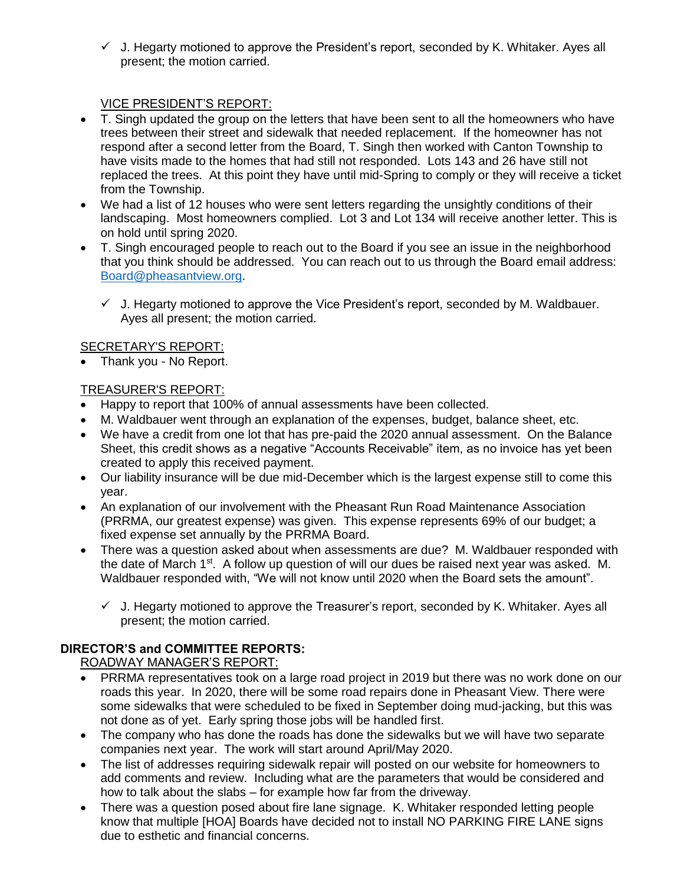$\checkmark$  J. Hegarty motioned to approve the President's report, seconded by K. Whitaker. Ayes all present; the motion carried.

## VICE PRESIDENT'S REPORT:

- T. Singh updated the group on the letters that have been sent to all the homeowners who have trees between their street and sidewalk that needed replacement. If the homeowner has not respond after a second letter from the Board, T. Singh then worked with Canton Township to have visits made to the homes that had still not responded. Lots 143 and 26 have still not replaced the trees. At this point they have until mid-Spring to comply or they will receive a ticket from the Township.
- We had a list of 12 houses who were sent letters regarding the unsightly conditions of their landscaping. Most homeowners complied. Lot 3 and Lot 134 will receive another letter. This is on hold until spring 2020.
- T. Singh encouraged people to reach out to the Board if you see an issue in the neighborhood that you think should be addressed. You can reach out to us through the Board email address: [Board@pheasantview.org.](mailto:board@pheasantview.org)
	- $\checkmark$  J. Hegarty motioned to approve the Vice President's report, seconded by M. Waldbauer. Ayes all present; the motion carried.

#### SECRETARY'S REPORT:

• Thank you - No Report.

## TREASURER'S REPORT:

- Happy to report that 100% of annual assessments have been collected.
- M. Waldbauer went through an explanation of the expenses, budget, balance sheet, etc.
- We have a credit from one lot that has pre-paid the 2020 annual assessment. On the Balance Sheet, this credit shows as a negative "Accounts Receivable" item, as no invoice has yet been created to apply this received payment.
- Our liability insurance will be due mid-December which is the largest expense still to come this year.
- An explanation of our involvement with the Pheasant Run Road Maintenance Association (PRRMA, our greatest expense) was given. This expense represents 69% of our budget; a fixed expense set annually by the PRRMA Board.
- There was a question asked about when assessments are due? M. Waldbauer responded with the date of March  $1<sup>st</sup>$ . A follow up question of will our dues be raised next year was asked. M. Waldbauer responded with, "We will not know until 2020 when the Board sets the amount".
	- $\checkmark$  J. Hegarty motioned to approve the Treasurer's report, seconded by K. Whitaker. Ayes all present; the motion carried.

#### **DIRECTOR'S and COMMITTEE REPORTS:**

#### ROADWAY MANAGER'S REPORT:

- PRRMA representatives took on a large road project in 2019 but there was no work done on our roads this year. In 2020, there will be some road repairs done in Pheasant View. There were some sidewalks that were scheduled to be fixed in September doing mud-jacking, but this was not done as of yet. Early spring those jobs will be handled first.
- The company who has done the roads has done the sidewalks but we will have two separate companies next year. The work will start around April/May 2020.
- The list of addresses requiring sidewalk repair will posted on our website for homeowners to add comments and review. Including what are the parameters that would be considered and how to talk about the slabs – for example how far from the driveway.
- There was a question posed about fire lane signage. K. Whitaker responded letting people know that multiple [HOA] Boards have decided not to install NO PARKING FIRE LANE signs due to esthetic and financial concerns.